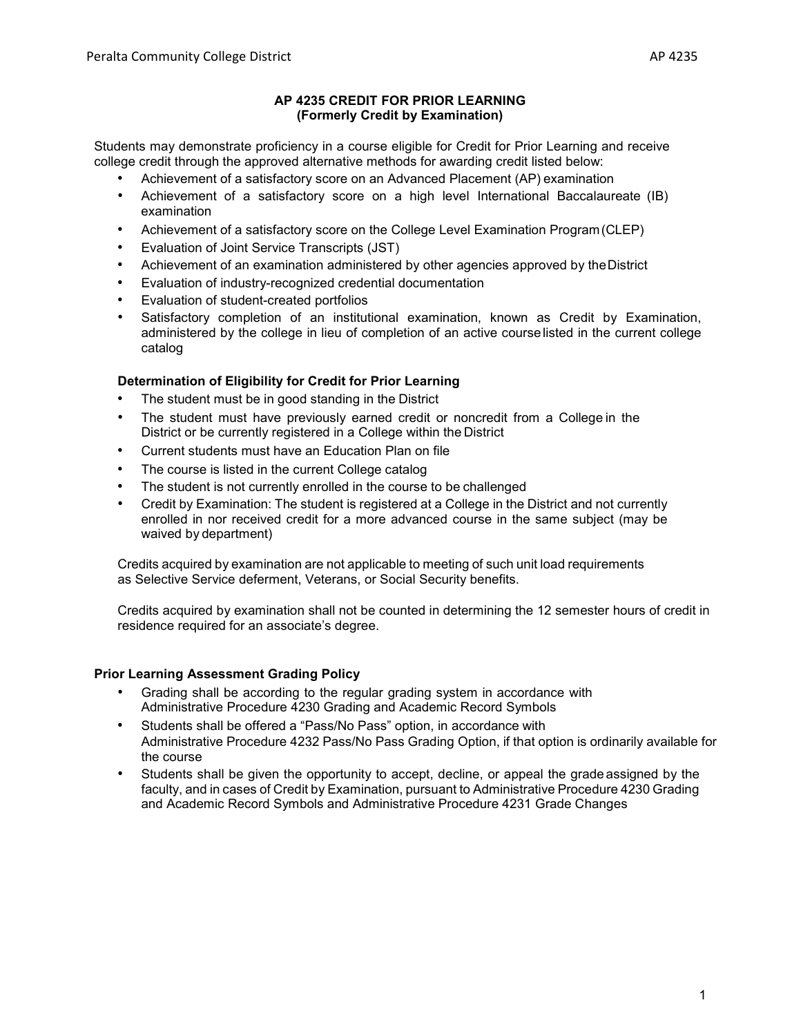## **AP 4235 CREDIT FOR PRIOR LEARNING (Formerly Credit by Examination)**

Students may demonstrate proficiency in a course eligible for Credit for Prior Learning and receive college credit through the approved alternative methods for awarding credit listed below:

- Achievement of a satisfactory score on an Advanced Placement (AP) examination
- Achievement of a satisfactory score on a high level International Baccalaureate (IB) examination
- Achievement of a satisfactory score on the College Level Examination Program(CLEP)
- Evaluation of Joint Service Transcripts (JST)
- Achievement of an examination administered by other agencies approved by the District
- Evaluation of industry-recognized credential documentation
- Evaluation of student-created portfolios
- Satisfactory completion of an institutional examination, known as Credit by Examination, administered by the college in lieu of completion of an active courselisted in the current college catalog

# **Determination of Eligibility for Credit for Prior Learning**

- The student must be in good standing in the District
- The student must have previously earned credit or noncredit from a College in the District or be currently registered in a College within the District
- Current students must have an Education Plan on file
- The course is listed in the current College catalog
- The student is not currently enrolled in the course to be challenged
- Credit by Examination: The student is registered at a College in the District and not currently enrolled in nor received credit for a more advanced course in the same subject (may be waived by department)

Credits acquired by examination are not applicable to meeting of such unit load requirements as Selective Service deferment, Veterans, or Social Security benefits.

Credits acquired by examination shall not be counted in determining the 12 semester hours of credit in residence required for an associate's degree.

## **Prior Learning Assessment Grading Policy**

- Grading shall be according to the regular grading system in accordance with Administrative Procedure 4230 Grading and Academic Record Symbols
- Students shall be offered a "Pass/No Pass" option, in accordance with Administrative Procedure 4232 Pass/No Pass Grading Option, if that option is ordinarily available for the course
- Students shall be given the opportunity to accept, decline, or appeal the grade assigned by the faculty, and in cases of Credit by Examination, pursuant to Administrative Procedure 4230 Grading and Academic Record Symbols and Administrative Procedure 4231 Grade Changes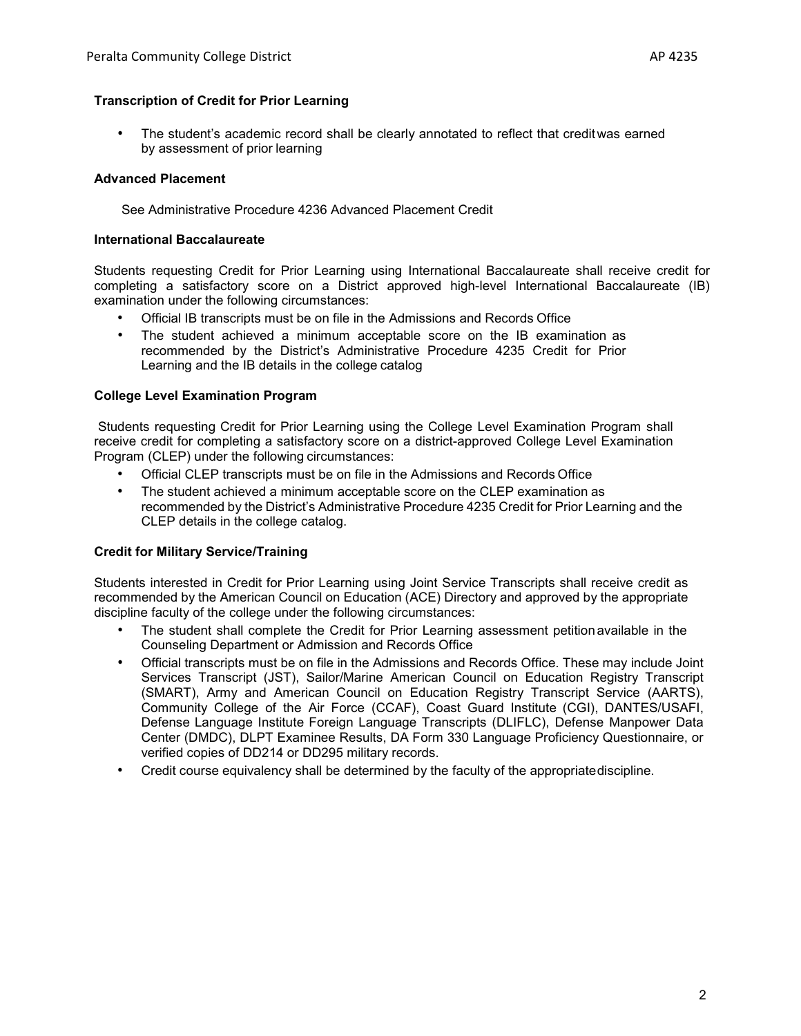### **Transcription of Credit for Prior Learning**

• The student's academic record shall be clearly annotated to reflect that creditwas earned by assessment of prior learning

### **Advanced Placement**

See Administrative Procedure 4236 Advanced Placement Credit

#### **International Baccalaureate**

Students requesting Credit for Prior Learning using International Baccalaureate shall receive credit for completing a satisfactory score on a District approved high-level International Baccalaureate (IB) examination under the following circumstances:

- Official IB transcripts must be on file in the Admissions and Records Office
- The student achieved a minimum acceptable score on the IB examination as recommended by the District's Administrative Procedure 4235 Credit for Prior Learning and the IB details in the college catalog

#### **College Level Examination Program**

Students requesting Credit for Prior Learning using the College Level Examination Program shall receive credit for completing a satisfactory score on a district-approved College Level Examination Program (CLEP) under the following circumstances:

- Official CLEP transcripts must be on file in the Admissions and Records Office
- The student achieved a minimum acceptable score on the CLEP examination as recommended by the District's Administrative Procedure 4235 Credit for Prior Learning and the CLEP details in the college catalog.

#### **Credit for Military Service/Training**

Students interested in Credit for Prior Learning using Joint Service Transcripts shall receive credit as recommended by the American Council on Education (ACE) Directory and approved by the appropriate discipline faculty of the college under the following circumstances:

- The student shall complete the Credit for Prior Learning assessment petitionavailable in the Counseling Department or Admission and Records Office
- Official transcripts must be on file in the Admissions and Records Office. These may include Joint Services Transcript (JST), Sailor/Marine American Council on Education Registry Transcript (SMART), Army and American Council on Education Registry Transcript Service (AARTS), Community College of the Air Force (CCAF), Coast Guard Institute (CGI), DANTES/USAFI, Defense Language Institute Foreign Language Transcripts (DLIFLC), Defense Manpower Data Center (DMDC), DLPT Examinee Results, DA Form 330 Language Proficiency Questionnaire, or verified copies of DD214 or DD295 military records.
- Credit course equivalency shall be determined by the faculty of the appropriatediscipline.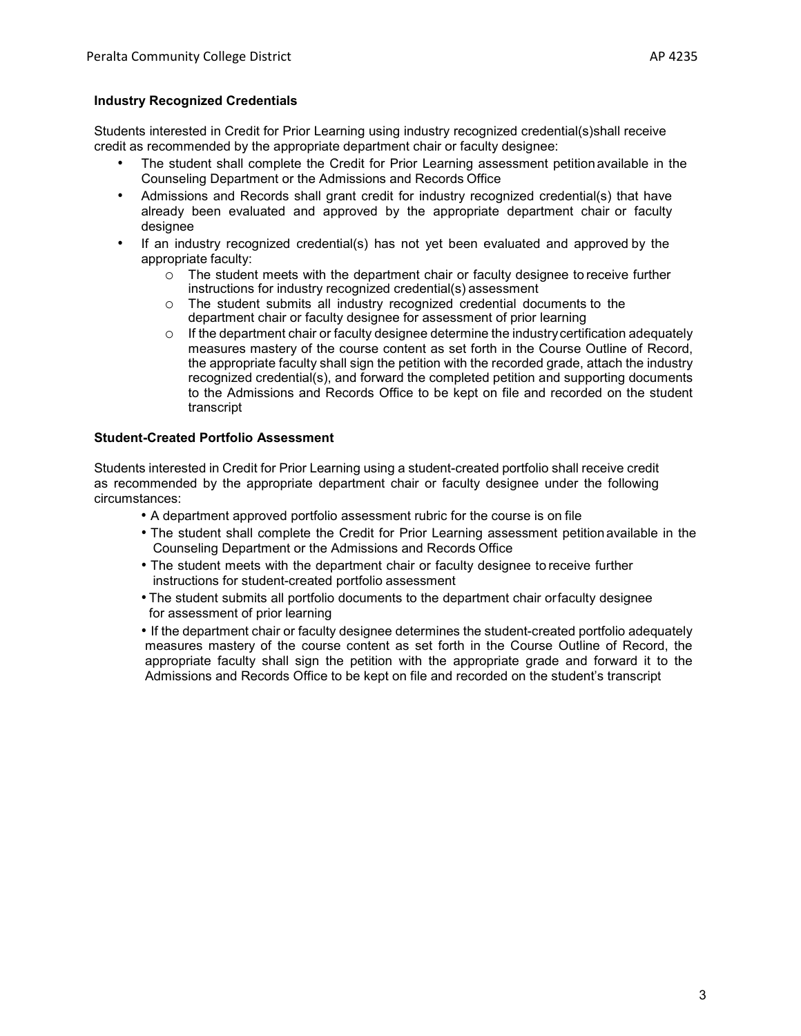## **Industry Recognized Credentials**

Students interested in Credit for Prior Learning using industry recognized credential(s)shall receive credit as recommended by the appropriate department chair or faculty designee:

- The student shall complete the Credit for Prior Learning assessment petition available in the Counseling Department or the Admissions and Records Office
- Admissions and Records shall grant credit for industry recognized credential(s) that have already been evaluated and approved by the appropriate department chair or faculty designee
- If an industry recognized credential(s) has not yet been evaluated and approved by the appropriate faculty:
	- $\circ$  The student meets with the department chair or faculty designee to receive further instructions for industry recognized credential(s) assessment
	- o The student submits all industry recognized credential documents to the department chair or faculty designee for assessment of prior learning
	- $\circ$  If the department chair or faculty designee determine the industry certification adequately measures mastery of the course content as set forth in the Course Outline of Record, the appropriate faculty shall sign the petition with the recorded grade, attach the industry recognized credential(s), and forward the completed petition and supporting documents to the Admissions and Records Office to be kept on file and recorded on the student transcript

#### **Student-Created Portfolio Assessment**

Students interested in Credit for Prior Learning using a student-created portfolio shall receive credit as recommended by the appropriate department chair or faculty designee under the following circumstances:

• A department approved portfolio assessment rubric for the course is on file

- The student shall complete the Credit for Prior Learning assessment petition available in the Counseling Department or the Admissions and Records Office
- The student meets with the department chair or faculty designee to receive further instructions for student-created portfolio assessment
- The student submits all portfolio documents to the department chair orfaculty designee for assessment of prior learning
- If the department chair or faculty designee determines the student-created portfolio adequately measures mastery of the course content as set forth in the Course Outline of Record, the appropriate faculty shall sign the petition with the appropriate grade and forward it to the Admissions and Records Office to be kept on file and recorded on the student's transcript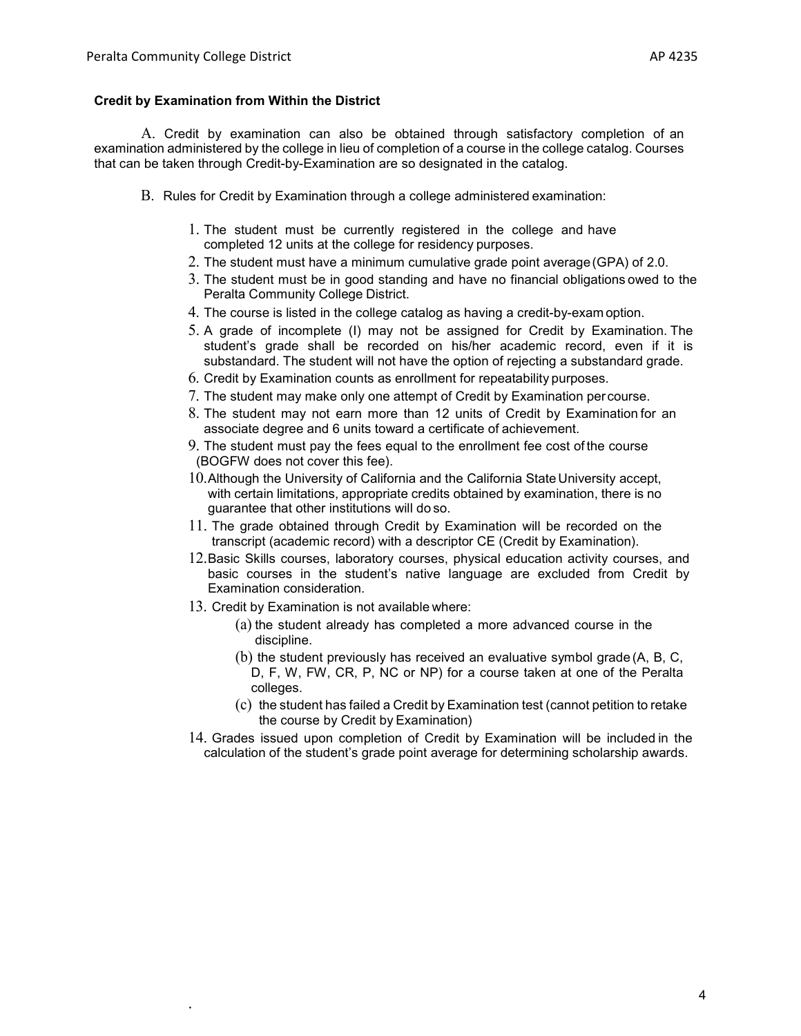### **Credit by Examination from Within the District**

A. Credit by examination can also be obtained through satisfactory completion of an examination administered by the college in lieu of completion of a course in the college catalog. Courses that can be taken through Credit-by-Examination are so designated in the catalog.

- B. Rules for Credit by Examination through a college administered examination:
	- 1. The student must be currently registered in the college and have completed 12 units at the college for residency purposes.
	- 2. The student must have a minimum cumulative grade point average(GPA) of 2.0.
	- 3. The student must be in good standing and have no financial obligations owed to the Peralta Community College District.
	- 4. The course is listed in the college catalog as having a credit-by-exam option.
	- 5. A grade of incomplete (I) may not be assigned for Credit by Examination. The student's grade shall be recorded on his/her academic record, even if it is substandard. The student will not have the option of rejecting a substandard grade.
	- 6. Credit by Examination counts as enrollment for repeatability purposes.
	- 7. The student may make only one attempt of Credit by Examination per course.
	- 8. The student may not earn more than 12 units of Credit by Examination for an associate degree and 6 units toward a certificate of achievement.
	- 9. The student must pay the fees equal to the enrollment fee cost of the course (BOGFW does not cover this fee).
	- 10.Although the University of California and the California State University accept, with certain limitations, appropriate credits obtained by examination, there is no guarantee that other institutions will do so.
	- 11. The grade obtained through Credit by Examination will be recorded on the transcript (academic record) with a descriptor CE (Credit by Examination).
	- 12.Basic Skills courses, laboratory courses, physical education activity courses, and basic courses in the student's native language are excluded from Credit by Examination consideration.
	- 13. Credit by Examination is not available where:
		- (a) the student already has completed a more advanced course in the discipline.
		- (b) the student previously has received an evaluative symbol grade (A, B, C, D, F, W, FW, CR, P, NC or NP) for a course taken at one of the Peralta colleges.
		- (c) the student has failed a Credit by Examination test (cannot petition to retake the course by Credit by Examination)
	- 14. Grades issued upon completion of Credit by Examination will be included in the calculation of the student's grade point average for determining scholarship awards.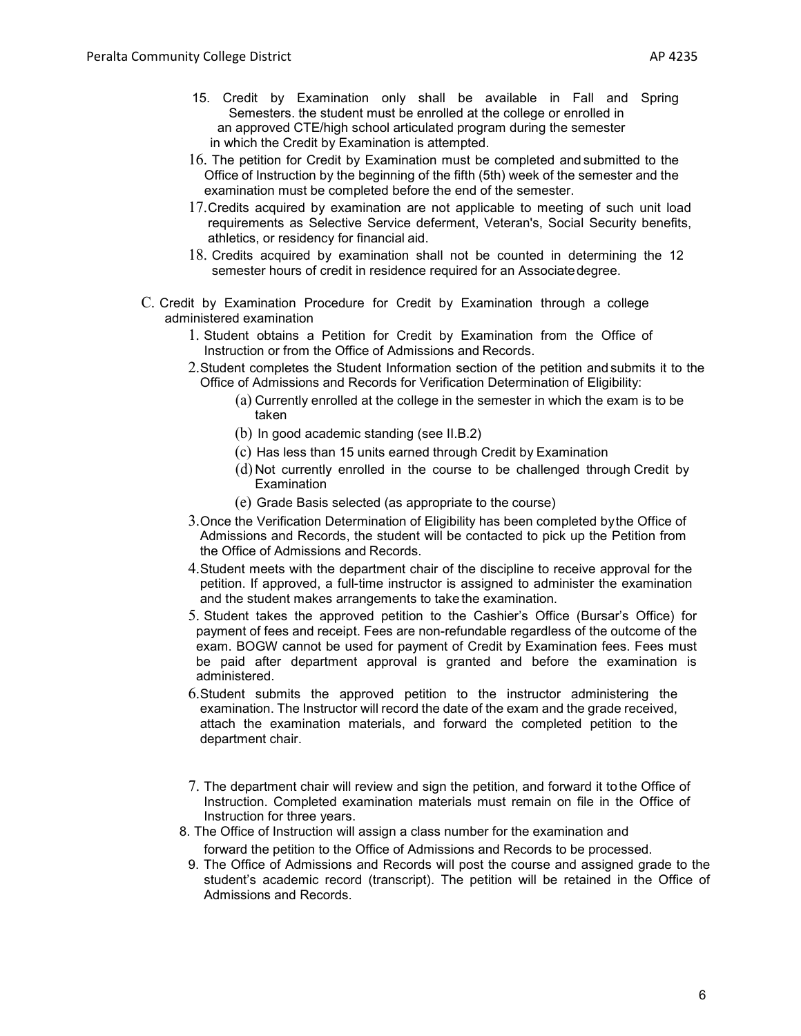- 15. Credit by Examination only shall be available in Fall and Spring Semesters. the student must be enrolled at the college or enrolled in an approved CTE/high school articulated program during the semester in which the Credit by Examination is attempted.
- 16. The petition for Credit by Examination must be completed and submitted to the Office of Instruction by the beginning of the fifth (5th) week of the semester and the examination must be completed before the end of the semester.
- 17.Credits acquired by examination are not applicable to meeting of such unit load requirements as Selective Service deferment, Veteran's, Social Security benefits, athletics, or residency for financial aid.
- 18. Credits acquired by examination shall not be counted in determining the 12 semester hours of credit in residence required for an Associatedegree.
- C. Credit by Examination Procedure for Credit by Examination through a college administered examination
	- 1. Student obtains a Petition for Credit by Examination from the Office of Instruction or from the Office of Admissions and Records.
	- 2.Student completes the Student Information section of the petition and submits it to the Office of Admissions and Records for Verification Determination of Eligibility:
		- (a) Currently enrolled at the college in the semester in which the exam is to be taken
		- (b) In good academic standing (see II.B.2)
		- (c) Has less than 15 units earned through Credit by Examination
		- (d) Not currently enrolled in the course to be challenged through Credit by Examination
		- (e) Grade Basis selected (as appropriate to the course)
	- 3.Once the Verification Determination of Eligibility has been completed bythe Office of Admissions and Records, the student will be contacted to pick up the Petition from the Office of Admissions and Records.
	- 4.Student meets with the department chair of the discipline to receive approval for the petition. If approved, a full-time instructor is assigned to administer the examination and the student makes arrangements to take the examination.
	- 5. Student takes the approved petition to the Cashier's Office (Bursar's Office) for payment of fees and receipt. Fees are non-refundable regardless of the outcome of the exam. BOGW cannot be used for payment of Credit by Examination fees. Fees must be paid after department approval is granted and before the examination is administered.
	- 6.Student submits the approved petition to the instructor administering the examination. The Instructor will record the date of the exam and the grade received, attach the examination materials, and forward the completed petition to the department chair.
	- 7. The department chair will review and sign the petition, and forward it tothe Office of Instruction. Completed examination materials must remain on file in the Office of Instruction for three years.
	- 8. The Office of Instruction will assign a class number for the examination and forward the petition to the Office of Admissions and Records to be processed.
	- 9. The Office of Admissions and Records will post the course and assigned grade to the student's academic record (transcript). The petition will be retained in the Office of Admissions and Records.